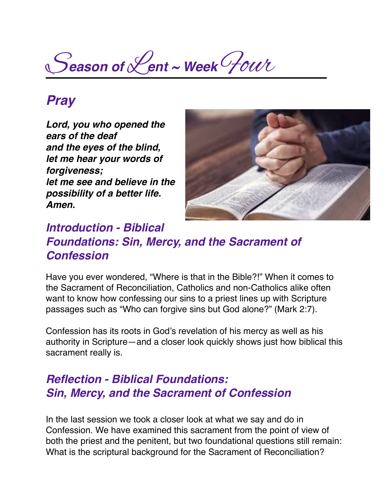S*eason of* L*ent ~ Week* Four

# *Pray*

*Lord, you who opened the ears of the deaf and the eyes of the blind, let me hear your words of forgiveness; let me see and believe in the possibility of a better life. Amen.*



### *Introduction - Biblical Foundations: Sin, Mercy, and the Sacrament of Confession*

Have you ever wondered, "Where is that in the Bible?!" When it comes to the Sacrament of Reconciliation, Catholics and non-Catholics alike often want to know how confessing our sins to a priest lines up with Scripture passages such as "Who can forgive sins but God alone?" (Mark 2:7).

Confession has its roots in God's revelation of his mercy as well as his authority in Scripture—and a closer look quickly shows just how biblical this sacrament really is.

#### *Reflection - Biblical Foundations: Sin, Mercy, and the Sacrament of Confession*

In the last session we took a closer look at what we say and do in Confession. We have examined this sacrament from the point of view of both the priest and the penitent, but two foundational questions still remain: What is the scriptural background for the Sacrament of Reconciliation?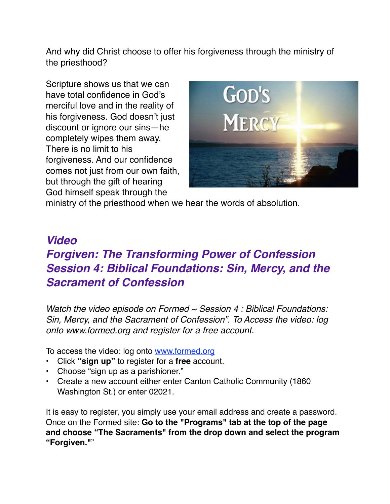And why did Christ choose to offer his forgiveness through the ministry of the priesthood?

Scripture shows us that we can have total confidence in God's merciful love and in the reality of his forgiveness. God doesn't just discount or ignore our sins—he completely wipes them away. There is no limit to his forgiveness. And our confidence comes not just from our own faith, but through the gift of hearing God himself speak through the



ministry of the priesthood when we hear the words of absolution.

# *Video Forgiven: The Transforming Power of Confession Session 4: Biblical Foundations: Sin, Mercy, and the Sacrament of Confession*

*Watch the video episode on Formed ~ Session 4 : Biblical Foundations: Sin, Mercy, and the Sacrament of Confession". To Access the video: log onto [www.formed.org](http://www.formed.org/) and register for a free account.* 

To access the video: log onto [www.formed.org](http://www.formed.org/)

- Click **"sign up"** to register for a **free** account.
- Choose "sign up as a parishioner."
- Create a new account either enter Canton Catholic Community (1860 Washington St.) or enter 02021.

It is easy to register, you simply use your email address and create a password. Once on the Formed site: **Go to the "Programs" tab at the top of the page and choose "The Sacraments" from the drop down and select the program "Forgiven."**"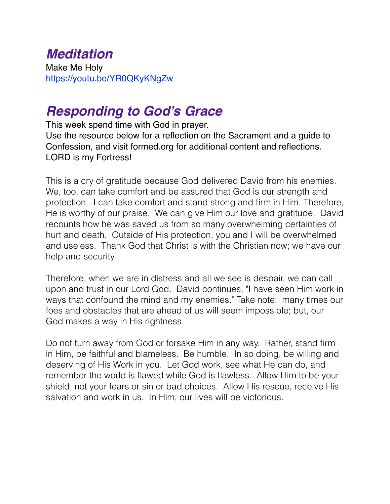#### *Meditation* Make Me Holy <https://youtu.be/YR0QKyKNgZw>

# *Responding to God's Grace*

This week spend time with God in prayer.

Use the resource below for a reflection on the Sacrament and a guide to Confession, and visit [formed.org](http://formed.org) for additional content and reflections. LORD is my Fortress!

This is a cry of gratitude because God delivered David from his enemies. We, too, can take comfort and be assured that God is our strength and protection. I can take comfort and stand strong and firm in Him. Therefore, He is worthy of our praise. We can give Him our love and gratitude. David recounts how he was saved us from so many overwhelming certainties of hurt and death. Outside of His protection, you and I will be overwhelmed and useless. Thank God that Christ is with the Christian now; we have our help and security.

Therefore, when we are in distress and all we see is despair, we can call upon and trust in our Lord God. David continues, "I have seen Him work in ways that confound the mind and my enemies." Take note: many times our foes and obstacles that are ahead of us will seem impossible; but, our God makes a way in His rightness.

Do not turn away from God or forsake Him in any way. Rather, stand firm in Him, be faithful and blameless. Be humble. In so doing, be willing and deserving of His Work in you. Let God work, see what He can do, and remember the world is flawed while God is flawless. Allow Him to be your shield, not your fears or sin or bad choices. Allow His rescue, receive His salvation and work in us. In Him, our lives will be victorious.